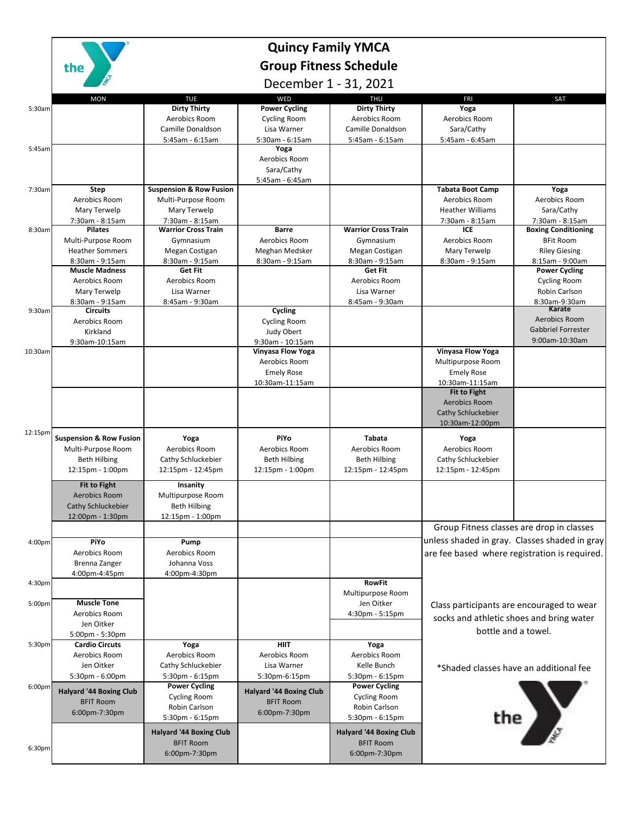

## **Quincy Family YMCA Group Fitness Schedule**

December 1 - 31, 2021

|                    | DECEIIIDEI T - 21' YONT            |                                    |                                              |                                |                                                                                                |                            |
|--------------------|------------------------------------|------------------------------------|----------------------------------------------|--------------------------------|------------------------------------------------------------------------------------------------|----------------------------|
|                    | <b>MON</b>                         | <b>TUE</b>                         | WED                                          | <b>THU</b>                     | <b>FRI</b>                                                                                     | SAT                        |
| 5:30am             |                                    | <b>Dirty Thirty</b>                | <b>Power Cycling</b>                         | <b>Dirty Thirty</b>            | Yoga                                                                                           |                            |
|                    |                                    | Aerobics Room                      | Cycling Room                                 | Aerobics Room                  | Aerobics Room                                                                                  |                            |
|                    |                                    | Camille Donaldson                  | Lisa Warner                                  | Camille Donaldson              | Sara/Cathy                                                                                     |                            |
|                    |                                    | 5:45am - 6:15am                    | 5:30am - 6:15am                              | 5:45am - 6:15am                | 5:45am - 6:45am                                                                                |                            |
| 5:45am             |                                    |                                    | Yoga                                         |                                |                                                                                                |                            |
|                    |                                    |                                    | Aerobics Room                                |                                |                                                                                                |                            |
|                    |                                    |                                    | Sara/Cathy                                   |                                |                                                                                                |                            |
| 7:30am             | <b>Step</b>                        | <b>Suspension &amp; Row Fusion</b> | 5:45am - 6:45am                              |                                | <b>Tabata Boot Camp</b>                                                                        | Yoga                       |
|                    | Aerobics Room                      | Multi-Purpose Room                 |                                              |                                | Aerobics Room                                                                                  | Aerobics Room              |
|                    | Mary Terwelp                       | Mary Terwelp                       |                                              |                                | <b>Heather Williams</b>                                                                        | Sara/Cathy                 |
|                    | 7:30am - 8:15am                    | 7:30am - 8:15am                    |                                              |                                | 7:30am - 8:15am                                                                                | 7:30am - 8:15am            |
| 8:30am             | <b>Pilates</b>                     | <b>Warrior Cross Train</b>         | <b>Barre</b>                                 | <b>Warrior Cross Train</b>     | ICE                                                                                            | <b>Boxing Conditioning</b> |
|                    | Multi-Purpose Room                 | Gymnasium                          | Aerobics Room                                | Gymnasium                      | Aerobics Room                                                                                  | <b>BFit Room</b>           |
|                    | <b>Heather Sommers</b>             | Megan Costigan                     | Meghan Medsker                               | Megan Costigan                 | Mary Terwelp                                                                                   | <b>Riley Giesing</b>       |
|                    | 8:30am - 9:15am                    | 8:30am - 9:15am                    | 8:30am - 9:15am                              | 8:30am - 9:15am                | 8:30am - 9:15am                                                                                | 8:15am - 9:00am            |
|                    | <b>Muscle Madness</b>              | Get Fit                            |                                              | Get Fit                        |                                                                                                | <b>Power Cycling</b>       |
|                    | Aerobics Room                      | Aerobics Room                      |                                              | Aerobics Room                  |                                                                                                | <b>Cycling Room</b>        |
|                    | Mary Terwelp                       | Lisa Warner                        |                                              | Lisa Warner                    |                                                                                                | Robin Carlson              |
|                    | 8:30am - 9:15am                    | 8:45am - 9:30am                    |                                              | 8:45am - 9:30am                |                                                                                                | 8:30am-9:30am              |
| 9:30am             | <b>Circuits</b>                    |                                    | Cycling                                      |                                |                                                                                                | Karate<br>Aerobics Room    |
|                    | Aerobics Room                      |                                    | <b>Cycling Room</b>                          |                                |                                                                                                | <b>Gabbriel Forrester</b>  |
|                    | Kirkland                           |                                    | Judy Obert                                   |                                |                                                                                                | 9:00am-10:30am             |
| 10:30am            | 9:30am-10:15am                     |                                    | 9:30am - 10:15am<br><b>Vinyasa Flow Yoga</b> |                                | Vinyasa Flow Yoga                                                                              |                            |
|                    |                                    |                                    | Aerobics Room                                |                                | Multipurpose Room                                                                              |                            |
|                    |                                    |                                    | <b>Emely Rose</b>                            |                                | <b>Emely Rose</b>                                                                              |                            |
|                    |                                    |                                    | 10:30am-11:15am                              |                                | 10:30am-11:15am                                                                                |                            |
|                    |                                    |                                    |                                              |                                | <b>Fit to Fight</b>                                                                            |                            |
|                    |                                    |                                    |                                              |                                | Aerobics Room                                                                                  |                            |
|                    |                                    |                                    |                                              |                                | Cathy Schluckebier                                                                             |                            |
|                    |                                    |                                    |                                              |                                | 10:30am-12:00pm                                                                                |                            |
| 12:15pm            | <b>Suspension &amp; Row Fusion</b> | Yoga                               | PiYo                                         | Tabata                         |                                                                                                |                            |
|                    | Multi-Purpose Room                 | Aerobics Room                      | Aerobics Room                                | Aerobics Room                  | Yoga<br>Aerobics Room                                                                          |                            |
|                    | Beth Hilbing                       | Cathy Schluckebier                 | <b>Beth Hilbing</b>                          | <b>Beth Hilbing</b>            | Cathy Schluckebier                                                                             |                            |
|                    |                                    |                                    | 12:15pm - 1:00pm                             |                                |                                                                                                |                            |
|                    | 12:15pm - 1:00pm                   | $12:15$ pm - $12:45$ pm            |                                              | 12:15pm - 12:45pm              | 12:15pm - 12:45pm                                                                              |                            |
|                    | <b>Fit to Fight</b>                | Insanity                           |                                              |                                |                                                                                                |                            |
|                    | Aerobics Room                      | Multipurpose Room                  |                                              |                                |                                                                                                |                            |
|                    | Cathy Schluckebier                 | <b>Beth Hilbing</b>                |                                              |                                |                                                                                                |                            |
|                    | 12:00pm - 1:30pm                   | 12:15pm - 1:00pm                   |                                              |                                |                                                                                                |                            |
|                    |                                    |                                    |                                              |                                | Group Fitness classes are drop in classes                                                      |                            |
| 4:00 <sub>pm</sub> | PiYo                               | Pump                               |                                              |                                | unless shaded in gray. Classes shaded in gray<br>are fee based where registration is required. |                            |
|                    | Aerobics Room                      | Aerobics Room                      |                                              |                                |                                                                                                |                            |
|                    | Brenna Zanger                      | Johanna Voss                       |                                              |                                |                                                                                                |                            |
|                    | 4:00pm-4:45pm                      | 4:00pm-4:30pm                      |                                              |                                |                                                                                                |                            |
| 4:30pm             |                                    |                                    |                                              | <b>RowFit</b>                  |                                                                                                |                            |
|                    |                                    |                                    |                                              | Multipurpose Room              |                                                                                                |                            |
| 5:00pm             | <b>Muscle Tone</b>                 |                                    |                                              | Jen Oitker                     | Class participants are encouraged to wear                                                      |                            |
|                    | Aerobics Room                      |                                    |                                              | 4:30pm - 5:15pm                | socks and athletic shoes and bring water                                                       |                            |
|                    | Jen Oitker                         |                                    |                                              |                                | bottle and a towel.                                                                            |                            |
|                    | 5:00pm - 5:30pm                    |                                    |                                              |                                |                                                                                                |                            |
| 5:30pm             | <b>Cardio Circuts</b>              | Yoga                               | <b>HIIT</b>                                  | Yoga                           |                                                                                                |                            |
|                    | Aerobics Room                      | Aerobics Room                      | Aerobics Room                                | Aerobics Room                  |                                                                                                |                            |
|                    | Jen Oitker                         | Cathy Schluckebier                 | Lisa Warner                                  | Kelle Bunch                    | *Shaded classes have an additional fee                                                         |                            |
|                    | 5:30pm - 6:00pm                    | 5:30pm - 6:15pm                    | 5:30pm-6:15pm                                | 5:30pm - 6:15pm                |                                                                                                |                            |
| 6:00pm             | <b>Halyard '44 Boxing Club</b>     | <b>Power Cycling</b>               | <b>Halyard '44 Boxing Club</b>               | <b>Power Cycling</b>           |                                                                                                |                            |
|                    | <b>BFIT Room</b>                   | Cycling Room                       | <b>BFIT Room</b>                             | <b>Cycling Room</b>            |                                                                                                |                            |
|                    | 6:00pm-7:30pm                      | Robin Carlson                      | 6:00pm-7:30pm                                | Robin Carlson                  |                                                                                                |                            |
|                    |                                    | 5:30pm - 6:15pm                    |                                              | 5:30pm - 6:15pm                |                                                                                                | the $\sum_{\sigma}$        |
|                    |                                    | <b>Halyard '44 Boxing Club</b>     |                                              | <b>Halyard '44 Boxing Club</b> |                                                                                                |                            |
| 6:30pm             |                                    | <b>BFIT Room</b>                   |                                              | <b>BFIT Room</b>               |                                                                                                |                            |
|                    |                                    | 6:00pm-7:30pm                      |                                              | 6:00pm-7:30pm                  |                                                                                                |                            |